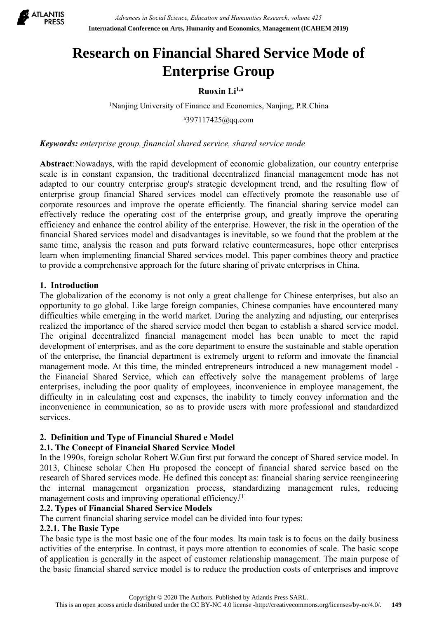

# Experiment Management (ICAHEM 2019)<br> **Ruoxin Li<sup>1,a</sup>**<br> **Ruoxin Li<sup>1,a</sup>**<br> **Ruoxin Li<sup>1,a</sup><br>
117425@qq.com** <sup>1</sup>Nanjing University of Finance and Economics, Nanjing, P.R.China **Research on Financial Shared Service Mode of Enterprise Group**

 $^{a}397117425$ @qq.com

*Keywords: enterprise group, financial shared service, shared service mode*

**Abstract:**Nowadays, with the rapid development of economics, Nanjing, P.R.China<br> *Abstract:Nowadays, with the rapid development of economic globalization, our country enterprise<br>
Abstract:Nowadays, with the rapid developm* **Enterprise Group**<br>**Enterprise Group**<br>**Ruoxin Li<sup>1,a</sup><br>
Ranying University of Finance and Economics, Nanjing, P.R.China<br>** *Reywords: enterprise group, financial shared service, shared service mode***<br>
<b>Abstract:** Nowadays, wit **Enterprise Group**<br> **Enterprise Group**<br>
Ruoxin Li<sup>1,a</sup><br>
<sup>2397117425@qq.com<br> *Keywords: enterprise group, financial shared service, shared service mode*<br> *Abstract:Nowadays, with the rapid development of economic globaliza</sup>* **Enterprise Group**<br> **Enterprise state of Finance and Economics, Nanjing, P.R.China**<br> **Exported:** The reason of Financial Shared service, shared service mode<br> **Abstract:** Nowadays, with the rapid development of economic glo **EXECT PT ISE ST OUTP**<br>
Ruoxin Li<sup>1,n</sup><br>
Nanjing University of Finance and Economics, Nanjing, P.R.China<br>
<sup>4397117425@qq.com<br> **Keywords:** enterprise group, financial shared service, shared service mode<br> **Abstract**: Nowaday</sup> **Example 19**<br> **Example 19**<br> **Example 1997**<br> **Example 1997**<br> **Example 1997**<br> **Example 1997**<br> **Example 1997**<br> **Example 1999**<br> **Abstract: Nowadays, with the rapid development of economic globalization, our country enterprise<br>** <sup>1</sup>Nanjing University of Finance and Economics, Nanjing, P.R.China<br><sup>4</sup>397117425@qq.com<br>**Abstract:** Nowadays, with the rapid development of economic globalization, our country enterprise<br>**Abstract:** Nowadays, with the rapi <sup>1</sup>Nanjing University of Finance and Economics, Nanjing, P.R.China<br><sup>a</sup>397117425@qq.com<br>**Abstract**:Nowadays, with the rapid development of economic globalization, our country enterprise<br>scale is in constant expansion, the <sup>9397117425@qq.com<br><sup>9397117425@qq.com</sup><br>**Abstract**:Nowadays, with the rapid development of economic globalization, our country enterprise<br>scale is in constant expansion, the traditional decentralized financial management mo</sup> **Keywords:** enterprise group, financial shared service, shared service mode<br> **Abstract**: Nowadays, with the rapid development of conomic globalization, our country enterprise<br>
scale is in constant expansion, the traditiona **Keywords:** *enterprise group, financial shared service, shared service mode*<br> **Abstract:** Nowadays, with the rapid development of economic globalization, our country enterprise<br>
scale is in constant expansion, the traditi Abstract:Nowadays, with the rapid develoff scale is in constant expansion, the tradit adapted to our country enterprise group's enterprise group financial Shared service corporate resources and improve the operfectively re **Abstract:** Nowwaday, win in erapid acceluplent to conomic giodalization, our county enterprise<br>scale is in constant expansion, the traditional decentralized financial management mode has not<br>adapted to our country enterpr seare is in constant expansion, the traductional decertinatized intancial mandement mode has not<br>adapted to our country enterprise group's strategic development trend, and the reasonable use of<br>enterprise group financial S and per country enterprise groups strategy development ured, and une resulting low or counterprise group financial Shared services model can effectively promote the reasonable use of corporate resources and improve the ope

enterpies group manetal shared services model can encetovely promote the reasonate case of the enterprise and enterprise group, and greatly improve the operating efficiency rade enterprise of the enterprise group, and grea corporate resources and mippove the operate entereduty. The funadral strating gievice findering cost of the enterprise proup, and greatly improve the operating efficiency and enhance the control ability of the enterprise. erflictiency reduce the correlary cost of the enterprises group, and greatly improve the operation of the financial Shared services model and disadvantages is inevitable, so we found that the problem at the same time, anal enterienty and enternation of the enterprise. The financial department is extremely the enterprise. The track in the problem at the problem at the same time, analysis the reason and puts forward relative countermeasures, h mancian stratevers moder and usawaranges is nevuatore, so we found tail the protocent at the and<br>same time, analysis the reason and puts forward relative countermeasures, hope other enterprises<br>learn when implementing fina same time, anaxys to reason and puss of ovara teature countermeastues, nope oner enterprises<br>the m when implementing financial Shared services model. This paper combines theory and practice<br>to provide a comprehensive appro earm wien impetinenting imatical shaled services inode). This paper collomes incoly and plactice<br>to provide a comprehensive approach for the future sharing of private enterprises in China.<br>1. **Introduction**<br>1. **Introductio** 1. Introduction<br>
1. Introduction<br>
The globalization of the conomy is not only a great challenge for Chinese enterprises, but also an<br>
opportunity to go global. Like large foreign companies, Chinese companies have encounter **1. Introduction**<br>The globalization of the economy is not only a great challenge for Chinese enterprises, but also an<br>opportunity to go global. Like large foreign companies, Chinese companies have encountered many<br>difficul services. opportunity to go global. Like large foreign companies, Chinese companies have encedifficulties while emerging in the world market. During the analyzing and adjusting, the realized the importance of the shared service mode difficulties while emerging in the world market. During the analyzing and adjusting, or endized the importance of the shared service model then began to establish a shared streat service model than be a development of ente reautzed the mporitance of the stated service model then the gain to establism a stated service model.<br>The original decentralized financial management model has been unable to meet the rapid<br>development of enterprises, and The original accentuanzed intending mangement model has been unable to meet the station-<br>development of enterprises, and as the core department to ensure the sustainable and stable operation<br>of the enterprise, the financia reversion of cherences, and as the core department to ensure the sustainable and state of the enterprise, the financial department is externely urgent to reform and imovate the financial management mode. At this time, the of the enterprise, the minated department is extended y there in the mand movate the financial Shared Service, which can effectively solve the management problems of large enterprises, including the poor quality of employe management mode. At unst une, the minded enterpreneurs into outer a new manner enterprises, including the poor quality of employees, inconvenience in employee of difficulty in in calculating cost and expenses, the inabili

the Financial Shared Service, which can effectively solve the management<br>enterprises, including the poor quality of employees, inconvenience in emplo<br>difficulty in in calculating cost and expenses, the inability to timely enterprises, including im conditive of the current financial sharing the current memory of manifold ifficulty in in calculating cost and censess, the inability to timely convey information and the inconvenience in communic difficulty in in calculating cost and expenses, the main<br>convenience in communication, so as to provide use<br>services.<br>**2. Definition and Type of Financial Shared e Model**<br>**2.1. The Concept of Financial Shared Service Model** Inconventience in communication, so as to provide users with more processional and standardized<br>
2. **Definition and Type of Financial Shared e Model**<br>
2. **The Concept of Financial Shared Service Model**<br>
In the 1990s, forei **2. Definition and Type of Financial Shared e Model**<br>**2.1. The Concept of Financial Shared Service Model**<br>**In** the 1990s, foreign scholar Robert W.Gun first put forward the concept of Shared service model. In<br>10113, Chine **2. Definition and Type of Financial Shared e Model<br>
2.1. The Concept of Financial Shared Service Model<br>
In the 1990s, foreign scholar Robert W.Gun first put forward the concept of Shared service model. In<br>
2013, Chinese** 2. **Deminion and Type of Financial shared service Model**<br> **2.1. The Concept of Financial Shared Service Model**<br>
In the 1990s, foreign scholar Robert W.Gun first put forward the concept of Shared service model. In<br>
2013,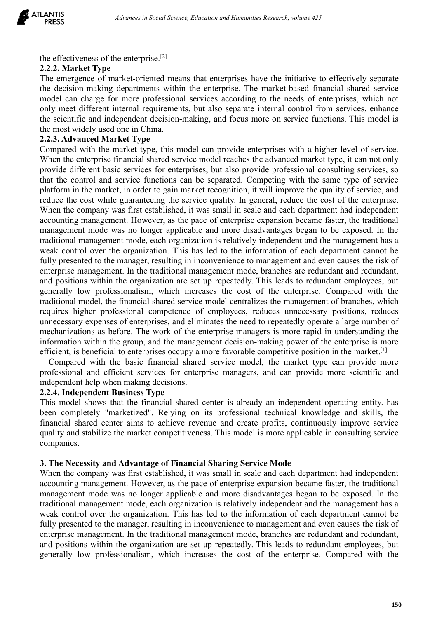

**EXELANTIS**<br> **EXELANTIS**<br> **EXELANTIS**<br> **EXELANTISHERTS**<br> **EXELANTISHERTS**<br> **EXELANTISES**<br> **EXELANTISES**<br> **EXELANTISES**<br> **EXELANTISES**<br> **EXELANTISES**<br> **EXELANTISES**<br> **EXELANTISES**<br> **EXELANTISES**<br> **EXELANTISES**<br> **EXELANTISES 2.2.2. Market Type**<br> **2.2.2. Market Type**<br> **2.2.2. Market Type**<br> **2.2.2. Market Type**<br> **2.2.2. Market Type**<br> **2.3.2. Market Type**<br> **2.3.2. Market Type**<br> **2.4.2. Market Type**<br> **2.4.2. Market Type**<br> **2.4.2. Market Type**<br> **2** *Advances in Social Science, Education and Humanities Research, volume 425*<br> **The emergence of the enterprise**.<sup>[2]</sup><br> **The emergence of market-oriented means that enterprises have the initiative to effectively separate<br>
th EXECTS**<br> **EXECTS Advances in Social Science, Education and Humanities Research, volume 425**<br> **2.2.2. Market Type**<br> **2.2.2. Market Type**<br> **The emergence of market-oriented means that enterprises have the initiative to effe EXECT:** Advances in Social Science, Education and Humanities Research, volume 425<br> **PRESS**<br>
the effectiveness of the enterprise.<sup>[2]</sup><br> **2.2.2. Market Type**<br>
emergence of market-oriented means that enterprises have the ini **LANTIS**<br> **PRESS**<br> **CONFIGUATE:** Advances in Social Science, Education and Humanities Research, volume 425<br> **2.2.2. Market Type**<br>
The emergence of market-oriented means that enterprises have the initiative to effectively **EXECT:** Advances in Social Science, Education and Humanities Research, volume 425<br> **22.2. Market Type**<br> **21.2. Market Type**<br> **12.6. Market Type**<br> **17.6. enrices of market-oriented means that enterprises have the initiativ LANTIS**<br> **EXECTS Advances in Social Science, Education and Humanities Resect<br>
<b>PRESS**<br> **CALC ADVIGENT TYPE**<br> **CALC ADVIGENT TYPE**<br> **CALC ADVIGENT TYPE**<br> **CALC ADVIGENT TYPE**<br> **CALC ADVIGENT THE MODE CONTIFYING ADVIGENT ON 2.2.3. Advances in Social Science, Education and Humanities Reflectiveness of the enterprise.**<sup>[2]</sup><br> **2.2.2. Market Type**<br>
The emergence of market-oriented means that enterprises have<br>
the decision-making departments with **PRESS**<br> **EXECUTE:** Analones in social science, eatecation and runnamies research, volume +25<br>
2.2.2. **Market Type**<br>
The emergence of market-oriented means that enterprises have the initiative to effectively separate<br>
the the effectiveness of the enterprise.<sup>[2]</sup><br>2.2.2. Market Type<br>The emergence of market-oriented means that enterprises have the initiative to effectively separate<br>the decision-making departments within the enterprise. The ma

**2.2.2. Market Type**<br> **2.2.2. Market Type**<br> **2.2.2. Market Type**<br> **The emergence of market-oriented means that enterprises have the initiative to effectively separate<br>
the decision-making departments within the enterprise.** the effectiveness of the enterprise.<sup>[2]</sup><br>2.2.2. Market Type<br>The emergence of market-oriented means that enterprises have the initiative to effectively separate<br>the decision-making departments within the enterprise. The ma Incertiventies of the enterprise.<sup>1-7</sup><br> **E.2.2. Market Type**<br>
The emergence of market-oriented means that enterprise. The market-based financial shared service<br>
the decision-making departments within the enterprise. The ma 2.2. **Narket Type**<br>The emergence of market-oriented means that enterprises have the initiative to effectively separate<br>the decision-making departments within the enterprise. The market-based financial shared service<br>model The entergence of market-oritention theats that enterptises have the intuitive to encettively separate the market-based financial shared ervice model can charge for more professional services according to the needs of ente In experiences with the enterprise. The manket-based intantial states and the management from the enterprise in the management of the scientific and independent decision-making, and focus more on service functions. This mo mode can enarge to more protessional services according to the necess of encityness, when no<br>only meet different internal requirements, but also separate internal control from services, enhance<br>the scientific and independe only meet culterent metrian requirements, but also separate internal control from services, ennance on the most widely used one in China.<br> **2.2.3. Advanced Market Type**<br> **2.2.3. Advanced Market Type**<br> **Compared with the ma** the solution and mendial mangement control over the organization. This has lead to reduced with the mendial shared Market Type<br>
Compared with the market type, this model can provide enterprises with a higher level of servi Incortion and the manager of the manager, resulting in inconvenience to management of branches, which that the management basic services for enterprises, but also provide inferent basic services for enterprises, so that th 2.2.3. Advanced Market Type, this model can provide enterprises with a higher level of service.<br>Compared with the market type, this model reaches the advanced market type, it can not only<br>provide different basic services Compared with the market vipe, ins mode can provide enterprises with a ingent level of service.<br>When the enterprise financial shared service model reaches the advanced market type, it can not only<br>provide different basic s when the energives management sinared stroves mode reaches the avanced market type, it can not omly<br>provide different basic services for enterprises, but also provide professional consulting services, so<br>that the control a provide unicerino daste services for enterphises, but also provide protessional consuming services, so<br>that the control and service functions can be separated. Competing with the same type of service<br>platform in the market mat us control and service uncouss can be separated. Competuny with the same type of service, and reduces the company was first established, it was small in scale and each department had independent reduce the cost while g plation in the matteet, in other to gain matter recognition, it will improve the quantic partice, and each department in the method. When the company was first established, it was small in scale and each department had ind reuture the cost winne guaranteering in service quarity. In general, retuces the cost of the enterprise<br>when the company was first established, it was small in scale and each department had independent<br>accounting managemen with the company was inst estableshabled, it was small in seal and each dependment nad incereducinty management. However, as the pace of enterprise expansion became faster, the traditional management mode was no longer app accounting management. Invover, as the pace of enterprise expansion occanne taster, the traditional management mode, was no longer applicable and more disadvantages began to be exposed. In the traditional management mode, ingenent mous was no longer appriacion and informational mangement mode explosed. In the explositional mangement mode, each organization is relatively independent and the mangement has a sak control over the organization. trautional management mode, each organization is relatively independent and ure managerment and the fully presented to the manager, resulting in inconvenience to management and even causes the risk of charging emanagement. weak control over the organization. This has led to the information<br>fully presented to the manager, resulting in inconvenience to managem<br>enterprise management. In the traditional management mode, branche<br>and positions wit This professional comparation and positions and positions within the organization are set up repeatedly. This lead<br>and positions within the organization are set up repeatedly. This lead<br>traditional model, the financial sha enterpies mangement. In the traductional mangement mode, branches are recunneant and required in an endication and positions within the organization are set up repeatedly. This leads to redundant amployees, but generally l and positions wholm the organization are set up relevantly. This reads to redundant employees, our expectally low professionalism, which increases the cost of the enterprise. Compared with the traditional model, the financ generally ow processionalism, wincin increates the cost of the enterprise. Compared with traditional model, the financial shared service model entralizes the management of branches, which requires higher professional compe Traumonia model, the market stable and stabilize the market competence of employees, reduces unnecessary positions, reduces unnecessary expenses of enterprises, and eliminates the need to repeatedly operate a large number

companies. mechanizations as beror. The work of the enterprise managers is more rapid in understanding the enterprise management decision-making power of the enterprise is more efficient, is beneficial to enterprises occupy a more fa mormator wuthin the group, and the management decision-had angle both competitive position in the market  $[1]$  Compared with the basic financial shared service model, the market type can provide more professional and effi

entenent, is oeneficial or enterprises occupy an independent or enterprise compared with the basic financial shared service model, the market type can provide more professional and efficient services for enterprise manager Compare with the basic mindlean stated service model, the market type can provide more professional and efficient services for enterprise managers, and can provide more scientific and independent help when making decisions processional and critical mediational management mode, concerned to the management model shows that the financial shared enter is already an independent operating entity, has bccon completely "mankritized". Relying on its meependent mely wear making decisions.<br>
A.2.4. Independent Business Type<br>
This model shows that the financial shared center is already an independent operating entity, has<br>
been completely "marketized". Relying on its prof 2.2.4. Interpentent **Busility** many is proposition and conter is already an independent operating entity. has Den completely "marketized". Relying on its professional technical knowledge and skills, the financial shared c This mode snows that the matalical strated center is already an independent operating entuy. has<br>then completely "marketized". Relying on its professional technical knowledge and skills, the<br>financial shared center aims to because the mand positions with the organization are set up repeatedly. This leads to redundant and the organization are financial shared center aims to achieve revenue and create profits, continuously improve service qual mancial sinarce center alms to achieve revenue and create profits, continuously improve service<br>quality and stabilize the market competitiveness. This model is more applicable in consulting service<br>companies.<br>3. The Necess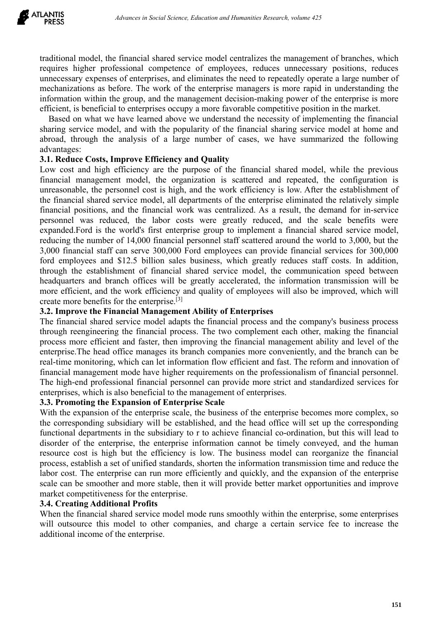*Advances in Social Science, Education and Humanities Research, volume 425*<br> **Traditional model, the financial shared service model centralizes the management of branches, which**<br>
requires higher professional competence of *Advances in Social Science, Education and Humanities Research, volume 425*<br> **PRESS**<br> **Example 1998**<br> **Example 1999**<br> **Example 1999**<br> **Example 1999**<br> **Example 1999**<br> **Example 1999**<br> **Example 1999**<br> **Example 2019**<br> **Example** LANTIS<br> **PRESS**<br> **RESS**<br> **RESS**<br> **EXELVISTS Advances** in Social Science, Education and Humanities Research, volume 425<br> **COMENTISTS**<br> **EXELVISTS:**<br> **EXELVISTS:**<br> **EXELVISTS:**<br> **EXELVISTS:**<br> **EXELVISTS:**<br> **EXELVISTS:**<br> **EXE** LANTIS<br> **PRESS** *Advances in Social Science, Education and Humanities Research, volume 425*<br> **Traditional model, the financial shared service model centralizes the management of branches, which<br>
requires higher professiona EXECT:** Advances in Social Science, Education and Humanities Research, volume 425<br> **PRESS**<br> **EXECT:** THE MAN INTERT TO CONSULTED THE MAN INTERTATION INTERTATION IN THE MAN INTERTATION SURFALL THE MOREON THE MOREON THE MOR LANTIS<br>**PRESS** *Advances in Social Science, Education and Humanities Research, volume 425*<br>traditional model, the financial shared service model centralizes the management of branches, which<br>requires higher professional co Advances in Social Science, Education and Humanities Research, volume 425<br> **Advances in Social Science, Education and Humanities Research, volume 425**<br>
ditional model, the financial shared service model centralizes the man **EXECTS**<br>**EXECTS** Advances in Social Science, Education and Humanities Research, volume 425<br> **Exercity** and complement of the professional competence of employees, reduces unnecessary epositions, reduces<br>
unnecessary expen **LANTIS**<br>**PRESS** *Advances in Social Science, Education and Humanities Research, volume 425*<br> **Caracterizational model**, the financial shared service model centralizes the management of branches, which<br>
requires higher pro traditional model, the financial shared service model centralizes the management of<br>requires higher professional competence of employees, reduces unnecessary p<br>unnecessary expenses of enterprises, and eliminates the need t traditional model, the financial shared service model centralizes the management of branches, which<br>requires higher professional competence of employees, reduces unnecessary epositions, reduces<br>unnecessary expenses of orte

advantages:

traditional model, the financial shared service model centralizes the management of branches, which<br>requires higher professional competence of employees, reduces unnecessary positions, reduces<br>unnecessary expenses of enter traductional model, the imancial shared extreme model centralizes the management of branches, when<br>trequires higher professional competence of employees, reduces unnecessary positions, reduces<br>unnecessary expenses of enter relutions<br>
interventional completience of emproperate, relucies undercostary positions, relucies<br>
unnecessary expenses of enterprises, and eliminates the need to repartedly operate a large number of<br>
mechanizations as befo uncecessary expenses or enterprises, and cummates une necessary expected your at ange numero-<br>imechanizations as before. The work of the enterprise managers is more rapid in understanding the<br>information within the group, mechanizations as ociety. In work of the enterptise manages is more appear in uncerstanding the<br>information within the group, and the management decision-making power of the enterprise is more<br>efficient, is beneficial to e mormanon wunnin the group, and the management decision-mataking bower of the enterprise is more enterprises occupy a more favorable competitive position in the market.<br>Based on what we have learned above we understand the erelection, is onethered to enterpies occupy at more iavorable competitive position in the market.<br>
Have for the number of the stattered are the financial sharing service model, and with the popularity of the financial sha Biskal on what we have teamed above we understand une necessity of imperintming in the mancial<br>sharing service model, and with the popularity of the financial sharing service model at home and<br>abroad, through the analysis sharm gevice mode, and wind the popularity of the inhancial sharm gevice model at nome and abavad, through the analysis of a large number of cases, we have summarized the following advantages:<br> **3.1. Reduce Costs, Improve** able and through the establishment of financial shared service model, with the previous advantages:<br> **3.1. Reduce Costs, Improve Efficiency and Quality**<br>
Low cost and high efficiency are the purpose of the financial shared avantages.<br>
and Roduce Costs, Improve Efficiency and Quality<br>
Low cost and high efficiency are the purpose of the financial shared and repeated, the configuration is<br>
unneasonable, the presonnel cost is high, and the work 5.1. **Exercite Costs, improve Entrientey and Quality** of the financial shared model, while the previous financial management model, the organization is scattered and repeated, the configuration is unreasonable, the person Low cost and mgn enticlency are the purpose of the infinancial rifunancial management model, the organization is scattered an unreasonable, the personnel cost is high, and the work efficiency financial positions, and the mancial management model, the organization is scattered and repeated, the coming<br>unreasonable, the personnel cost is high, and the work efficiency is low. After the establis<br>the financial shared service model, all departme unesosmone; ure pessonne cost is mgn, and us wow enciclency is tow. Arter the establismment of the financial positions, and the financial vork was centralized. As a result, the demand for in-service personnel was reduced, through the financial marked service model, an department of the enterprise chimated the relatively simple the financial positions, and the financial vork was centralized. As a result, the demand for in-service personnel w mancial positions, and the mancial was centural work was centural cost a result, the demant of m-service<br>personnel was reduced, the labor costs were greatly reduced, and the scale benefits were<br>expanded.Ford is the world' personnel was requied, the tao of osses were greatly required, and the seare oentils were proported, and the samplement a financial shared service model, reducing the number of 14,000 financial personnel staff scattered ar

expantation is the worlds instrellation to implement a infactor and is exere to content and the world b 3,000, but the 3,000 financial staff can serve 300,000 Ford employees can provide financial services for 300,000 ford requiring the minitor of 14,000 tinancial personnel stati scattered around the world to 2,000, but the<br>3,000 financial staff can serve 300,000 Ford employees can provide financial services for 300,000<br>ford employees and \$1 5,000 infinderal start end service 500,000 roter enjoyees can provide inancial services ior 500,000 roter end standard service model, the communication speed between headquarters and branch offices will be greatly accelera for employees and 512.5 billion salso susfites, which greatly reduces start costs. In addit through the establishment of financial shared service model, the communication speed between headquarters and branch offices will through the establishment of mancial shared service model, the communication<br>headquarters and branch offices will be greatly accelerated, the information trans<br>create more efficient, and the work efficiency and quality of meand and the work of the enterprise scale, the mornino of the enterprises of the enterprise.<br>
The enterprise and other of the enterprise scale of employees will also be improved, which will<br>
create more benefits for the e more entient, and the work entienciey and quality of employees will also be improved, which will create more benefits for the enterprise.<sup>[3]</sup><br>3.2. Improve the Financial Management Ability of Enterprises<br>The financial shar create more benefits for the emerphies.<sup>167</sup><br>**3.2. Improve the Financial Management Ability of Enterprises**<br>The financial shared service model adapts the financial process and the company's business process<br>through reengin 3.2. Improve the r mancical Waral permet Monity of Lenterprise<br>SC. Improve in the enterprise and the company's business process<br>through reengineering the financial process. The two complement each other, making the financi

The mancial sinarce service model adaps ine inmicial process and ue company soussines process<br>through reangineering the financial process. The two complement each other, making the financial<br>process more efficient and fast mough reempencing un tunnelar process. In e wo complement can outer, making the time<br>process more efficient and faster, then improving the financial management ability and level of the<br>enterprise. The head office manages i process more enterent and raster, then improving the intantical management anomy and level of the cost. The head office manges its branch companies more conveniently, and the branch can be real-time monitoring, which can l enterpies. In enear other and more stable, then it will provide better market operators, and the othach can better monitoring, which can be the from an one of financial management mode have higher requirements on the profe real-time monitoring, which can be information flow efficient and as<br>financial management mode have higher requirements on the professi<br>The high-end professional financial personnel can provide more stric<br>enterprises, whic mancial management mode nave nigher requirements on the pro-<br>The high-end professional financial personnel can provide more<br>enterprises, which is also beneficial to the management of enterpri<br>3.3. Promoting the Expansion o The man-end processional inancial presioned random provide more strict and standardized services for<br>enterprises, which is also beneficial to the management of enterprises.<br> **3.3. Promoting the Expansion of Enterprise Scal** enerpieses, will on the expansion of the management of enterprises.<br>
S.3. Promoting the Expansion of Enterprise Scale, the business of the enterprise becomes more complex, so<br>
With the expansion of the enterprise scale, th 3.3. Promoting the Expansion of Enterprise Scale<br>With the expansion of the enterprise scale, the business of the<br>the corresponding subsidiary will be established, and the head<br>functional departments in the subsidiary to r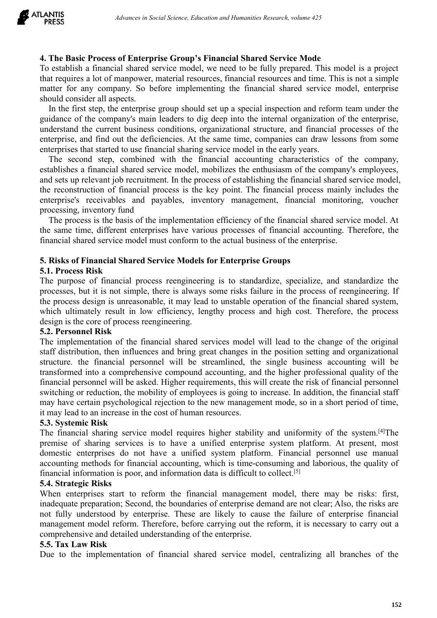Advances in Social Science, Education and Humanities Research, volume 425<br>**4. The Basic Process of Enterprise Group's Financial Shared Service Mode**<br>To establish a financial shared service model, we need to be fully prepar *Advances in Social Science, Education and Humanities Research, volume 425*<br> **4. The Basic Process of Enterprise Group's Financial Shared Service Mode**<br>
To establish a financial shared service model, we need to be fully pr *Advances in Social Science, Education and Humanities Research, volume 425*<br>**4. The Basic Process of Enterprise Group's Financial Shared Service Mode**<br>To establish a financial shared service model, we need to be fully prep **EXECT:** Advances in Social Science, Education and Humanities Research, volume 425<br>**4. The Basic Process of Enterprise Group's Financial Shared Service Mode**<br>To establish a financial shared service model, we need to be ful **LANTIS** *Advances in Social Science, Education and Hume*<br>**PRESS** *Advances in Social Science, Education and Hume*<br>**4. The Basic Process of Enterprise Group's Financial S**<br>To establish a financial shared service model, we

Advances in Social Science, Education and Humanities Research, volume 425<br> **The Basic Process of Enterprise Group's Financial Shared Service Mode**<br>
establish a financial shared service model, we need to be fully prepared. **EXECT:** Advances in Social Science, Education and Humanities Research, volume 425<br>**4. The Basic Process of Enterprise Group's Financial Shared Service Mode**<br>To establish a financial shared service model, we need to be fu **1ANTIS**<br> **Advances in Social Science, Education and Humanities Research, volume 425**<br> **4. The Basic Process of Enterprise Group's Financial Shared Service Mode**<br>
To establish a financial shared service model, we need to *Advances in Social Science, Education and Humanities Research, volume 425*<br>**4. The Basic Process of Enterprise Group's Financial Shared Service Mode**<br>To establish a financial shared service model, we need to be fully prep **EXENT FRESS**<br>**EXECUTE:** Anothers in social science, Eatacation and Financial Shared Service Mode<br>To establish a financial shared service model, we need to be fully prepared. This model is a project<br>that requires a lot of The Basic Process of Enterprise Group's Financial Shared Service Mode<br>
establish a financial shared service model, we need to be fully prepared. This model is a project<br>
at trequires a lot of manpower, material resources,

4. The Basic Process of Enterprise Group's Financial Shared Service Mode<br>To establish a financial shared service model, we need to be fully prepared. This model is a project<br>that requires a lot of manpower, material resour **4. The Basic Process of Enterprise Group's Financial Shared Service Mode**<br>To establish a financial shared service model, we need to be fully prepared. This model is a project<br>that requires a lot of manpower, material reso 4. The **paster Process of Enterprise Group s** Financial strated Service Model is a project To establish a financial shared service model, we need to be fully prepared. This model is a project that requires a lot of manpowe To establish a minicial shared vivent model, we need to to unity prepared. This modes is a project<br>that requires a lot of manpower, material resources, financial resources and time. This is not a simple<br>matter for any comp that requires a fot of manpower, material resources, infinited matter for any company. So before implementing the finishould consider all aspects.<br>
In the first step, the enterprise group should set up a special guidance o the rive for my compute model and shared service model, enterprise<br>that is the the enterprise group should set up a special inspection and reform team under the<br>dance of the company's main leaders to dig deep into the inte Solution to find the same time special inspection and reform team under the guidance of the enterprise group should set up a special inspection and reform team under the guidance of the company's main leaders to dig deep i In the thist step, the enterprise group should set by a special inspection and cloim claim<br>guidance of the company's main leaders to dig deep into the internal organization of the enterprise,<br>understand the current busines understand the current business conduons, organizational structure, and financial processes of the enterprises that started to use financial sharing service model in the early years.<br>The second step, combined with the fina enterprise, and rind out the derictencies. At the same enterprises that started to use financial sharing servi<br>The second step, combined with the financiestablishes a financial shared service model, mobil<br>and sets up relev enterprises that statted to use inflancial sharm givette model in the cany years.<br>The second step, combined with the financial accounting characteristics of the company,<br>establishes a financial shared service model, mobili In second step, comonced with the intantial accounting characteristics of the company<br>establishes a financial shared servic model, mobilizes the enthusiasm of the company's employes,<br>and sets up relevant job recruitment. I

estatomises a unraria state stevic motor, motonizes the enunistation of the company sempoyees,<br>and sets up relevant job recultment. In the process of establishing the financial shared service model,<br>the reconstruction of f and sets up televant Joo eccludiment. In the plocess or establishing the imalicial stated service model,<br>the reconstruction of financial process is the key point. The financial amontoring, voucher<br>processing, inventory fun the reconstruction of infinicial process is the key point. The final<br>enterprise's receivables and payables, inventory management,<br>processing, inventory find<br>The process is the basis of the implementation efficiency of the enterprise's receivables and payables, inventory<br>processing, inventory fund<br>The process is the basis of the implementation effic<br>the same time, different enterprises have various pro<br>financial shared service model must con processing, inventory unit<br>The process is the basis of the implementation efficiency of the financial shared service model. At<br>the same time, different enterprises have various processes of financial scounting. Therefore,

The process is the basis of the imperimetuation entiencely of the mancial stared service model. At the same time, different enterprises have various processes of financial accounting. Therefore, the financial shared servic Interior and structure. The financial personnel will be streamlined, the single business of the enterprise.<br>
5. Risks of Financial Shared Service Models for Enterprise Groups<br>
5.1. Process Risk<br>
5.1. Process Risk<br>
The purp Infiancial shared service model must conform to the actual business of the enterprise.<br> **5. Risks of Financial Shared Service Models for Enterprise Groups**<br> **5.1. Process Risk**<br>
The purpose of financial process reengineeri **5. Risks of Financial Shared Service Models for Enterprise Groups**<br>**5.1. Process Risk**<br>The purpose of financial process reengineering is to standardize, specialize, and standardize the<br>processes, but it is not simple, the S. KISS of Financial started Service Modes for Enterprise Groups<br>
S.1. Process Risk<br>
The purpose of financial process reengineering is to standardize, specialize, and standardize the<br>
processes, but it is not simple, there 5.1. Process Kissk<br>The purpose of financial process receptineering is to standardize, specialize, and standardize the<br>processes, but it is not simple, there is always some risks failure in the process of reengineering. If The puppose of mancial plocess reengineering is to standarize, specialize, and<br>the processes, but it is not simple, there is always some risks failure in the process of r<br>the processe, design is unreasonable, it may lead t processes, but it is not simple, there is always some<br>the processes, but it is not simple, there is always some<br>the process design is unreasonable, it may lead to ur<br>which ultimately result in low efficiency, lengthy<br>desig In the financial sharing such a measured requires higher than the precise of the system, which ultimately result in low efficiency, lengthy process and high cost. Therefore, the process design is the core of process reengi where the constrained in the formulation of the financial scharing results. Therefore, the process design is the core of process reengineering.<br>
5.2. Personnel Risk<br>
The implementation of the financial shared services mode design is une core of process receiptionering.<br>
S.2. Personnel Risk<br>
The implementation of the financial shared services model will lead to the change of the original<br>
starf distribution, then influences and bring great ch 5.2. **Personne KISK**<br>
SCLA **PERT ACCONDENT ACCONDENT CONDUM** THE STANDUM CONDICTION THE INTERNATE THE INTERNATE ACCOUNT THE STANDUM STATE THE INTERNATE THE INTERNATE THE INTERNATE IN THE INTERNATE INTERNATE IN THE INTERNA The impenential on the mancial shared sevices indet in each of the different information of the financial structure. the financial personnel will be streamlined, the single business accounting will be transformed into a co **STAT distribution**, then influences and bring great ch<br>structure. the financial personnel will be streaml<br>transformed into a comprehensive compound accour<br>financial personnel will be asked. Higher requiremen<br>switching or structure. In tinancial personner with os streamlined, the single business accounting with os transformed into a comprehensive compound accounting, and the higher professional quality of the financial personnel will be ask

transformed move components we compourate coming, and une mager protessional quarity or increase. In a district in process is going to increase. In addition, the financial personnel switching or reduction, the mobility of mancial presonner win to easket. Higher requirements, this win create the risk of interaction, the financial staff<br>may have certain psychological rejection to the new management mode, so in a short period of time,<br>it may switching of reduction, the mounting of employees is song to increase. in addition, the innancial start<br>may have certain psychological rejection to the new management mode, so in a short period of time,<br>it may lead to an i may nave certain psychological rejection to the new management mode, so in a short perture it may lead to an increase in the cost of human resources.<br> **5.3. Systemic Risk** The financial sharing service model requires high It may lead to an increase in the cost of numan resour<br>**5.3. Systemic Risk**<br>The financial sharing services is to have a unified<br>premise of sharing services is to have a unified<br>domestic enterprises do not have a unified sy 5.5. System CRIM The implementation of financial shared service model, centralizing all branches of sharing services is to have a unified enterprise system platform. At present, most domestic enterprises do not have a unif